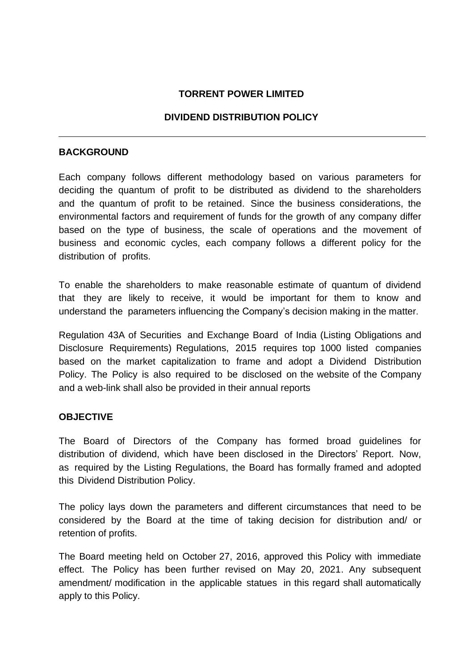### **TORRENT POWER LIMITED**

### **DIVIDEND DISTRIBUTION POLICY**

#### **BACKGROUND**

Each company follows different methodology based on various parameters for deciding the quantum of profit to be distributed as dividend to the shareholders and the quantum of profit to be retained. Since the business considerations, the environmental factors and requirement of funds for the growth of any company differ based on the type of business, the scale of operations and the movement of business and economic cycles, each company follows a different policy for the distribution of profits.

To enable the shareholders to make reasonable estimate of quantum of dividend that they are likely to receive, it would be important for them to know and understand the parameters influencing the Company's decision making in the matter.

Regulation 43A of Securities and Exchange Board of India (Listing Obligations and Disclosure Requirements) Regulations, 2015 requires top 1000 listed companies based on the market capitalization to frame and adopt a Dividend Distribution Policy. The Policy is also required to be disclosed on the website of the Company and a web-link shall also be provided in their annual reports

#### **OBJECTIVE**

The Board of Directors of the Company has formed broad guidelines for distribution of dividend, which have been disclosed in the Directors' Report. Now, as required by the Listing Regulations, the Board has formally framed and adopted this Dividend Distribution Policy.

The policy lays down the parameters and different circumstances that need to be considered by the Board at the time of taking decision for distribution and/ or retention of profits.

The Board meeting held on October 27, 2016, approved this Policy with immediate effect. The Policy has been further revised on May 20, 2021. Any subsequent amendment/ modification in the applicable statues in this regard shall automatically apply to this Policy.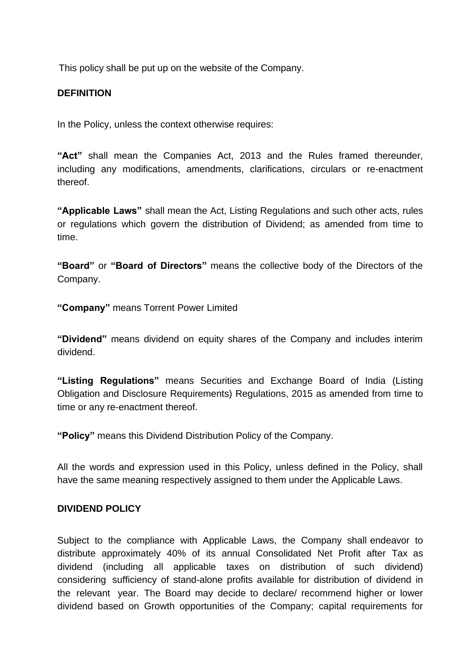This policy shall be put up on the website of the Company.

### **DEFINITION**

In the Policy, unless the context otherwise requires:

**"Act"** shall mean the Companies Act, 2013 and the Rules framed thereunder, including any modifications, amendments, clarifications, circulars or re-enactment thereof.

**"Applicable Laws"** shall mean the Act, Listing Regulations and such other acts, rules or regulations which govern the distribution of Dividend; as amended from time to time.

**"Board"** or **"Board of Directors"** means the collective body of the Directors of the Company.

**"Company"** means Torrent Power Limited

**"Dividend"** means dividend on equity shares of the Company and includes interim dividend.

**"Listing Regulations"** means Securities and Exchange Board of India (Listing Obligation and Disclosure Requirements) Regulations, 2015 as amended from time to time or any re-enactment thereof.

**"Policy"** means this Dividend Distribution Policy of the Company.

All the words and expression used in this Policy, unless defined in the Policy, shall have the same meaning respectively assigned to them under the Applicable Laws.

# **DIVIDEND POLICY**

Subject to the compliance with Applicable Laws, the Company shall endeavor to distribute approximately 40% of its annual Consolidated Net Profit after Tax as dividend (including all applicable taxes on distribution of such dividend) considering sufficiency of stand-alone profits available for distribution of dividend in the relevant year. The Board may decide to declare/ recommend higher or lower dividend based on Growth opportunities of the Company; capital requirements for